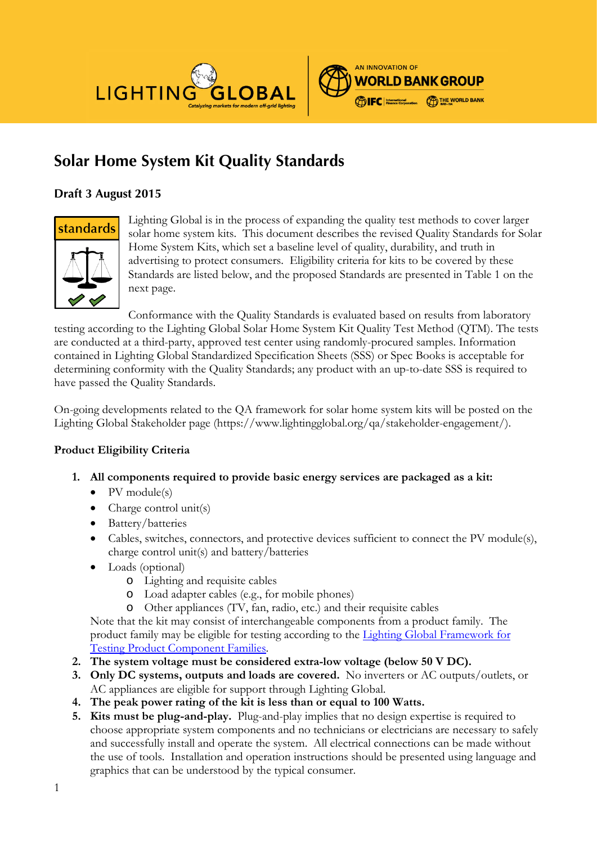



# **Solar Home System Kit Quality Standards**

## **Draft 3 August 2015**



Lighting Global is in the process of expanding the quality test methods to cover larger solar home system kits. This document describes the revised Quality Standards for Solar Home System Kits, which set a baseline level of quality, durability, and truth in advertising to protect consumers. Eligibility criteria for kits to be covered by these Standards are listed below, and the proposed Standards are presented in Table 1 on the next page.

Conformance with the Quality Standards is evaluated based on results from laboratory testing according to the Lighting Global Solar Home System Kit Quality Test Method (QTM). The tests are conducted at a third-party, approved test center using randomly-procured samples. Information contained in Lighting Global Standardized Specification Sheets (SSS) or Spec Books is acceptable for determining conformity with the Quality Standards; any product with an up-to-date SSS is required to have passed the Quality Standards.

On-going developments related to the QA framework for solar home system kits will be posted on the Lighting Global Stakeholder page (https://www.lightingglobal.org/qa/stakeholder-engagement/).

#### **Product Eligibility Criteria**

- **1. All components required to provide basic energy services are packaged as a kit:**
	- $\bullet$  PV module(s)
	- Charge control unit(s)
	- Battery/batteries
	- Cables, switches, connectors, and protective devices sufficient to connect the PV module(s), charge control unit(s) and battery/batteries
	- Loads (optional)
		- o Lighting and requisite cables
		- o Load adapter cables (e.g., for mobile phones)
		- o Other appliances (TV, fan, radio, etc.) and their requisite cables

Note that the kit may consist of interchangeable components from a product family. The product family may be eligible for testing according to the [Lighting Global Framework for](http://www.lightingglobal.org/resources/lighting-global-program-documents/)  [Testing Product Component Families.](http://www.lightingglobal.org/resources/lighting-global-program-documents/)

- **2. The system voltage must be considered extra-low voltage (below 50 V DC).**
- **3. Only DC systems, outputs and loads are covered.** No inverters or AC outputs/outlets, or AC appliances are eligible for support through Lighting Global.
- **4. The peak power rating of the kit is less than or equal to 100 Watts.**
- **5. Kits must be plug-and-play.** Plug-and-play implies that no design expertise is required to choose appropriate system components and no technicians or electricians are necessary to safely and successfully install and operate the system. All electrical connections can be made without the use of tools. Installation and operation instructions should be presented using language and graphics that can be understood by the typical consumer.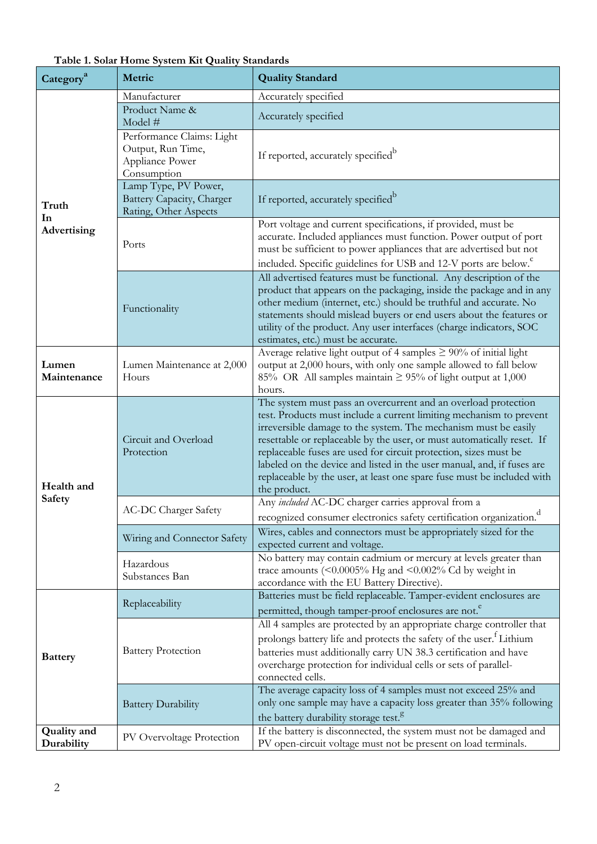| Category <sup>a</sup>            | Metric                                                                           | <b>Quality Standard</b>                                                                                                                                                                                                                                                                                                                                                                                                                                                                                                    |  |  |
|----------------------------------|----------------------------------------------------------------------------------|----------------------------------------------------------------------------------------------------------------------------------------------------------------------------------------------------------------------------------------------------------------------------------------------------------------------------------------------------------------------------------------------------------------------------------------------------------------------------------------------------------------------------|--|--|
| Truth<br>In<br>Advertising       | Manufacturer                                                                     | Accurately specified                                                                                                                                                                                                                                                                                                                                                                                                                                                                                                       |  |  |
|                                  | Product Name &<br>Model #                                                        | Accurately specified                                                                                                                                                                                                                                                                                                                                                                                                                                                                                                       |  |  |
|                                  | Performance Claims: Light<br>Output, Run Time,<br>Appliance Power<br>Consumption | If reported, accurately specified <sup>b</sup>                                                                                                                                                                                                                                                                                                                                                                                                                                                                             |  |  |
|                                  | Lamp Type, PV Power,<br>Battery Capacity, Charger<br>Rating, Other Aspects       | If reported, accurately specified <sup>b</sup>                                                                                                                                                                                                                                                                                                                                                                                                                                                                             |  |  |
|                                  | Ports                                                                            | Port voltage and current specifications, if provided, must be<br>accurate. Included appliances must function. Power output of port<br>must be sufficient to power appliances that are advertised but not                                                                                                                                                                                                                                                                                                                   |  |  |
|                                  |                                                                                  | included. Specific guidelines for USB and 12-V ports are below. <sup>c</sup>                                                                                                                                                                                                                                                                                                                                                                                                                                               |  |  |
|                                  | Functionality                                                                    | All advertised features must be functional. Any description of the<br>product that appears on the packaging, inside the package and in any<br>other medium (internet, etc.) should be truthful and accurate. No<br>statements should mislead buyers or end users about the features or<br>utility of the product. Any user interfaces (charge indicators, SOC<br>estimates, etc.) must be accurate.                                                                                                                        |  |  |
| Lumen<br>Maintenance             | Lumen Maintenance at 2,000<br>Hours                                              | Average relative light output of 4 samples $\geq 90\%$ of initial light<br>output at 2,000 hours, with only one sample allowed to fall below<br>85% OR All samples maintain $\geq$ 95% of light output at 1,000<br>hours.                                                                                                                                                                                                                                                                                                  |  |  |
| Health and                       | Circuit and Overload<br>Protection                                               | The system must pass an overcurrent and an overload protection<br>test. Products must include a current limiting mechanism to prevent<br>irreversible damage to the system. The mechanism must be easily<br>resettable or replaceable by the user, or must automatically reset. If<br>replaceable fuses are used for circuit protection, sizes must be<br>labeled on the device and listed in the user manual, and, if fuses are<br>replaceable by the user, at least one spare fuse must be included with<br>the product. |  |  |
| <b>Safety</b>                    | <b>AC-DC Charger Safety</b>                                                      | Any included AC-DC charger carries approval from a<br>recognized consumer electronics safety certification organization. <sup>d</sup>                                                                                                                                                                                                                                                                                                                                                                                      |  |  |
|                                  | Wiring and Connector Safety                                                      | Wires, cables and connectors must be appropriately sized for the<br>expected current and voltage.                                                                                                                                                                                                                                                                                                                                                                                                                          |  |  |
|                                  | Hazardous<br>Substances Ban                                                      | No battery may contain cadmium or mercury at levels greater than<br>trace amounts $(<0.0005\%$ Hg and $<0.002\%$ Cd by weight in<br>accordance with the EU Battery Directive).                                                                                                                                                                                                                                                                                                                                             |  |  |
| <b>Battery</b>                   | Replaceability                                                                   | Batteries must be field replaceable. Tamper-evident enclosures are<br>permitted, though tamper-proof enclosures are not. <sup>e</sup>                                                                                                                                                                                                                                                                                                                                                                                      |  |  |
|                                  | <b>Battery Protection</b>                                                        | All 4 samples are protected by an appropriate charge controller that<br>prolongs battery life and protects the safety of the user. <sup>f</sup> Lithium<br>batteries must additionally carry UN 38.3 certification and have<br>overcharge protection for individual cells or sets of parallel-<br>connected cells.                                                                                                                                                                                                         |  |  |
|                                  | <b>Battery Durability</b>                                                        | The average capacity loss of 4 samples must not exceed 25% and<br>only one sample may have a capacity loss greater than 35% following<br>the battery durability storage test. <sup>8</sup>                                                                                                                                                                                                                                                                                                                                 |  |  |
| <b>Quality</b> and<br>Durability | PV Overvoltage Protection                                                        | If the battery is disconnected, the system must not be damaged and<br>PV open-circuit voltage must not be present on load terminals.                                                                                                                                                                                                                                                                                                                                                                                       |  |  |

**Table 1. Solar Home System Kit Quality Standards**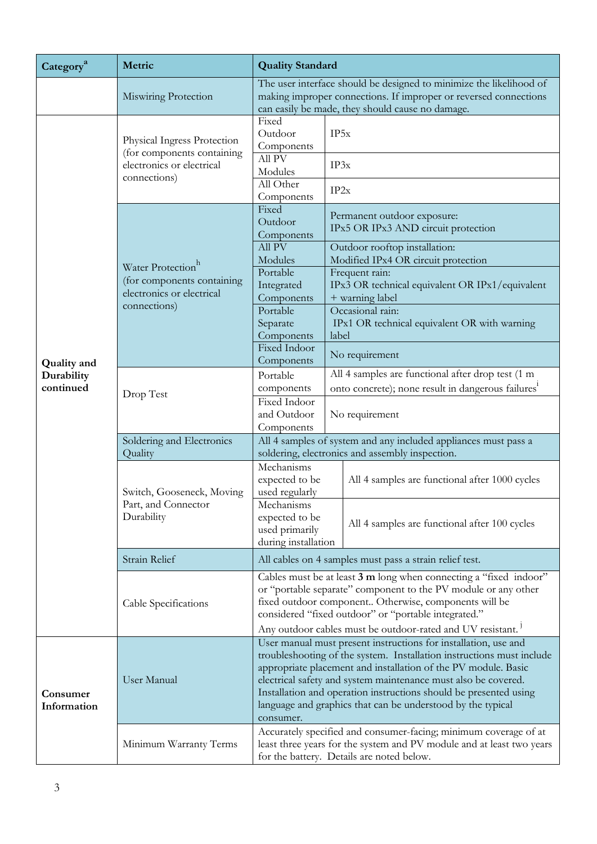| Category <sup>a</sup>   | Metric                                                                                                   | <b>Quality Standard</b>                                                                                                                                                                                                                                                                                                                                                                                                       |                                                                                                                     |  |
|-------------------------|----------------------------------------------------------------------------------------------------------|-------------------------------------------------------------------------------------------------------------------------------------------------------------------------------------------------------------------------------------------------------------------------------------------------------------------------------------------------------------------------------------------------------------------------------|---------------------------------------------------------------------------------------------------------------------|--|
|                         | Miswiring Protection                                                                                     | The user interface should be designed to minimize the likelihood of<br>making improper connections. If improper or reversed connections<br>can easily be made, they should cause no damage.                                                                                                                                                                                                                                   |                                                                                                                     |  |
|                         | Physical Ingress Protection<br>(for components containing<br>electronics or electrical<br>connections)   | Fixed<br>Outdoor<br>Components<br>All PV                                                                                                                                                                                                                                                                                                                                                                                      | IP5x                                                                                                                |  |
|                         |                                                                                                          | Modules<br>All Other                                                                                                                                                                                                                                                                                                                                                                                                          | IP3x                                                                                                                |  |
|                         | Water Protection <sup>h</sup><br>(for components containing<br>electronics or electrical<br>connections) | Components<br>Fixed<br>Outdoor                                                                                                                                                                                                                                                                                                                                                                                                | IP2x<br>Permanent outdoor exposure:                                                                                 |  |
|                         |                                                                                                          | Components<br>All PV                                                                                                                                                                                                                                                                                                                                                                                                          | IPx5 OR IPx3 AND circuit protection<br>Outdoor rooftop installation:                                                |  |
|                         |                                                                                                          | Modules<br>Portable<br>Integrated                                                                                                                                                                                                                                                                                                                                                                                             | Modified IPx4 OR circuit protection<br>Frequent rain:<br>IPx3 OR technical equivalent OR IPx1/equivalent            |  |
|                         |                                                                                                          | Components<br>Portable<br>Separate<br>Components                                                                                                                                                                                                                                                                                                                                                                              | + warning label<br>Occasional rain:<br>IPx1 OR technical equivalent OR with warning<br>label                        |  |
| <b>Quality</b> and      |                                                                                                          | <b>Fixed Indoor</b><br>Components                                                                                                                                                                                                                                                                                                                                                                                             | No requirement                                                                                                      |  |
| Durability<br>continued | Drop Test                                                                                                | Portable<br>components                                                                                                                                                                                                                                                                                                                                                                                                        | All 4 samples are functional after drop test (1 m<br>onto concrete); none result in dangerous failures <sup>1</sup> |  |
|                         |                                                                                                          | Fixed Indoor<br>and Outdoor<br>Components                                                                                                                                                                                                                                                                                                                                                                                     | No requirement                                                                                                      |  |
|                         | Soldering and Electronics<br>Quality                                                                     | All 4 samples of system and any included appliances must pass a<br>soldering, electronics and assembly inspection.                                                                                                                                                                                                                                                                                                            |                                                                                                                     |  |
|                         | Switch, Gooseneck, Moving<br>Part, and Connector<br>Durability                                           | Mechanisms<br>expected to be<br>used regularly                                                                                                                                                                                                                                                                                                                                                                                | All 4 samples are functional after 1000 cycles                                                                      |  |
|                         |                                                                                                          | Mechanisms<br>expected to be<br>used primarily<br>during installation                                                                                                                                                                                                                                                                                                                                                         | All 4 samples are functional after 100 cycles                                                                       |  |
|                         | Strain Relief                                                                                            | All cables on 4 samples must pass a strain relief test.                                                                                                                                                                                                                                                                                                                                                                       |                                                                                                                     |  |
|                         | Cable Specifications                                                                                     | Cables must be at least 3 m long when connecting a "fixed indoor"<br>or "portable separate" component to the PV module or any other<br>fixed outdoor component Otherwise, components will be<br>considered "fixed outdoor" or "portable integrated."                                                                                                                                                                          |                                                                                                                     |  |
|                         |                                                                                                          | Any outdoor cables must be outdoor-rated and UV resistant. <sup>1</sup>                                                                                                                                                                                                                                                                                                                                                       |                                                                                                                     |  |
| Consumer<br>Information | User Manual                                                                                              | User manual must present instructions for installation, use and<br>troubleshooting of the system. Installation instructions must include<br>appropriate placement and installation of the PV module. Basic<br>electrical safety and system maintenance must also be covered.<br>Installation and operation instructions should be presented using<br>language and graphics that can be understood by the typical<br>consumer. |                                                                                                                     |  |
|                         | Minimum Warranty Terms                                                                                   | Accurately specified and consumer-facing; minimum coverage of at<br>least three years for the system and PV module and at least two years<br>for the battery. Details are noted below.                                                                                                                                                                                                                                        |                                                                                                                     |  |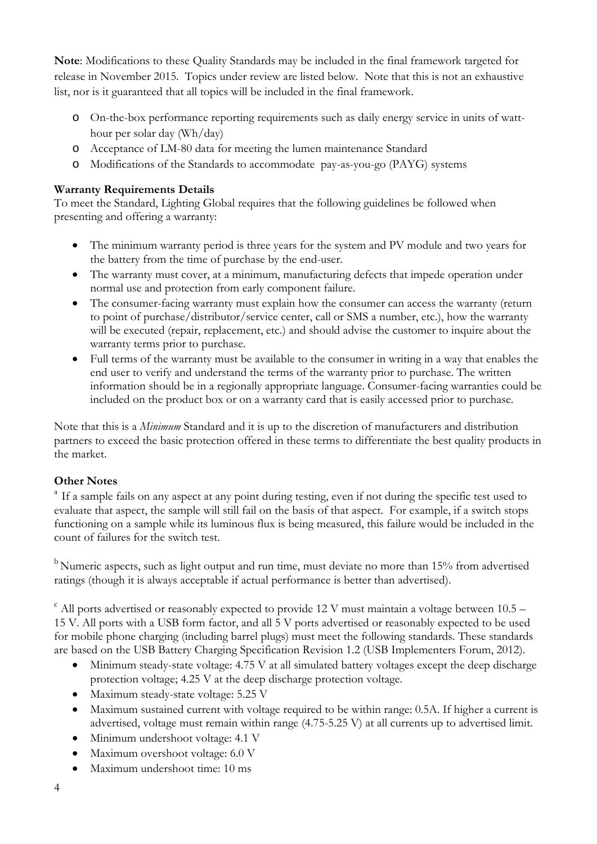**Note**: Modifications to these Quality Standards may be included in the final framework targeted for release in November 2015. Topics under review are listed below. Note that this is not an exhaustive list, nor is it guaranteed that all topics will be included in the final framework.

- o On-the-box performance reporting requirements such as daily energy service in units of watthour per solar day (Wh/day)
- o Acceptance of LM-80 data for meeting the lumen maintenance Standard
- o Modifications of the Standards to accommodate pay-as-you-go (PAYG) systems

### **Warranty Requirements Details**

To meet the Standard, Lighting Global requires that the following guidelines be followed when presenting and offering a warranty:

- The minimum warranty period is three years for the system and PV module and two years for the battery from the time of purchase by the end-user.
- The warranty must cover, at a minimum, manufacturing defects that impede operation under normal use and protection from early component failure.
- The consumer-facing warranty must explain how the consumer can access the warranty (return to point of purchase/distributor/service center, call or SMS a number, etc.), how the warranty will be executed (repair, replacement, etc.) and should advise the customer to inquire about the warranty terms prior to purchase.
- Full terms of the warranty must be available to the consumer in writing in a way that enables the end user to verify and understand the terms of the warranty prior to purchase. The written information should be in a regionally appropriate language. Consumer-facing warranties could be included on the product box or on a warranty card that is easily accessed prior to purchase.

Note that this is a *Minimum* Standard and it is up to the discretion of manufacturers and distribution partners to exceed the basic protection offered in these terms to differentiate the best quality products in the market.

#### **Other Notes**

<sup>a</sup> If a sample fails on any aspect at any point during testing, even if not during the specific test used to evaluate that aspect, the sample will still fail on the basis of that aspect. For example, if a switch stops functioning on a sample while its luminous flux is being measured, this failure would be included in the count of failures for the switch test.

<sup>b</sup> Numeric aspects, such as light output and run time, must deviate no more than 15% from advertised ratings (though it is always acceptable if actual performance is better than advertised).

 $\degree$  All ports advertised or reasonably expected to provide 12 V must maintain a voltage between 10.5 – 15 V. All ports with a USB form factor, and all 5 V ports advertised or reasonably expected to be used for mobile phone charging (including barrel plugs) must meet the following standards. These standards are based on the USB Battery Charging Specification Revision 1.2 (USB Implementers Forum, 2012).

- Minimum steady-state voltage: 4.75 V at all simulated battery voltages except the deep discharge protection voltage; 4.25 V at the deep discharge protection voltage.
- Maximum steady-state voltage: 5.25 V
- Maximum sustained current with voltage required to be within range: 0.5A. If higher a current is advertised, voltage must remain within range (4.75-5.25 V) at all currents up to advertised limit.
- Minimum undershoot voltage: 4.1 V
- Maximum overshoot voltage: 6.0 V
- Maximum undershoot time: 10 ms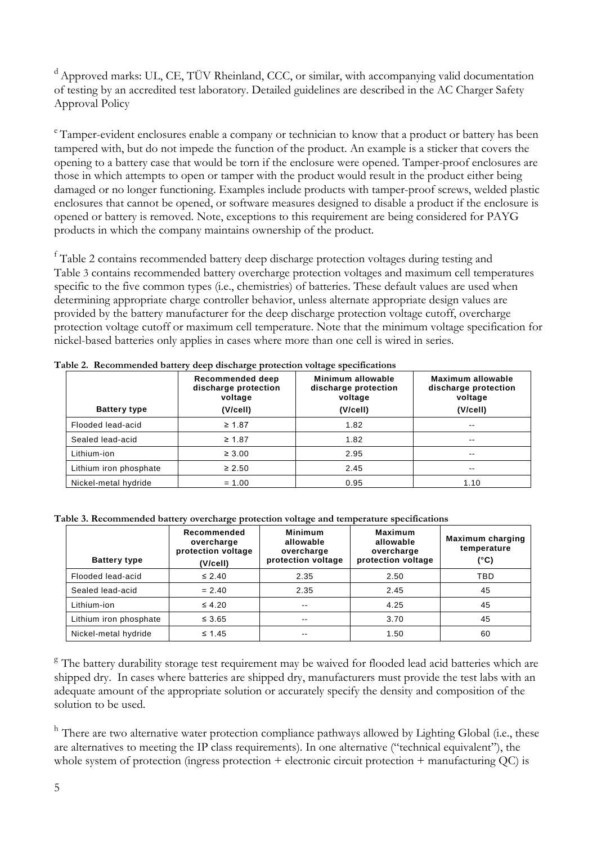<sup>d</sup> Approved marks: UL, CE, TÜV Rheinland, CCC, or similar, with accompanying valid documentation of testing by an accredited test laboratory. Detailed guidelines are described in the AC Charger Safety Approval Policy

<sup>e</sup> Tamper-evident enclosures enable a company or technician to know that a product or battery has been tampered with, but do not impede the function of the product. An example is a sticker that covers the opening to a battery case that would be torn if the enclosure were opened. Tamper-proof enclosures are those in which attempts to open or tamper with the product would result in the product either being damaged or no longer functioning. Examples include products with tamper-proof screws, welded plastic enclosures that cannot be opened, or software measures designed to disable a product if the enclosure is opened or battery is removed. Note, exceptions to this requirement are being considered for PAYG products in which the company maintains ownership of the product.

<sup>f</sup> [Table 2](#page-4-0) contains recommended battery deep discharge protection voltages during testing and [Table](#page-4-1) 3 contains recommended battery overcharge protection voltages and maximum cell temperatures specific to the five common types (i.e., chemistries) of batteries. These default values are used when determining appropriate charge controller behavior, unless alternate appropriate design values are provided by the battery manufacturer for the deep discharge protection voltage cutoff, overcharge protection voltage cutoff or maximum cell temperature. Note that the minimum voltage specification for nickel-based batteries only applies in cases where more than one cell is wired in series.

| <b>Battery type</b>                   | Recommended deep<br>discharge protection<br>voltage<br>(V/cell) | Minimum allowable<br>discharge protection<br>voltage<br>(V/cell) | Maximum allowable<br>discharge protection<br>voltage<br>(V/cell) |
|---------------------------------------|-----------------------------------------------------------------|------------------------------------------------------------------|------------------------------------------------------------------|
| Flooded lead-acid                     | $\geq 1.87$                                                     | 1.82                                                             | $- -$                                                            |
| Sealed lead-acid                      | $\geq 1.87$                                                     | 1.82                                                             | $\sim$ $\sim$                                                    |
| Lithium-ion                           | $\geq 3.00$                                                     | 2.95                                                             | $\sim$ $\sim$                                                    |
| Lithium iron phosphate<br>$\geq 2.50$ |                                                                 | 2.45                                                             | $\sim$ $\sim$                                                    |
| Nickel-metal hydride                  | $= 1.00$                                                        | 0.95                                                             | 1.10                                                             |

<span id="page-4-0"></span>**Table 2. Recommended battery deep discharge protection voltage specifications** 

<span id="page-4-1"></span>**Table 3. Recommended battery overcharge protection voltage and temperature specifications**

| <b>Battery type</b>    | Recommended<br>overcharge<br>protection voltage<br>(V/cell) | <b>Minimum</b><br>allowable<br>overcharge<br>protection voltage | <b>Maximum</b><br>allowable<br>overcharge<br>protection voltage | <b>Maximum charging</b><br>temperature<br>(°C) |
|------------------------|-------------------------------------------------------------|-----------------------------------------------------------------|-----------------------------------------------------------------|------------------------------------------------|
| Flooded lead-acid      | $\leq 2.40$                                                 | 2.35                                                            | 2.50                                                            | TBD                                            |
| Sealed lead-acid       | $= 2.40$                                                    | 2.35                                                            | 2.45                                                            | 45                                             |
| Lithium-ion            | $\leq 4.20$                                                 | $\sim$ $-$                                                      | 4.25                                                            | 45                                             |
| Lithium iron phosphate | $\leq 3.65$                                                 | $- -$                                                           | 3.70                                                            | 45                                             |
| Nickel-metal hydride   | $\leq 1.45$                                                 | $- -$                                                           | 1.50                                                            | 60                                             |

<sup>g</sup> The battery durability storage test requirement may be waived for flooded lead acid batteries which are shipped dry. In cases where batteries are shipped dry, manufacturers must provide the test labs with an adequate amount of the appropriate solution or accurately specify the density and composition of the solution to be used.

<sup>h</sup> There are two alternative water protection compliance pathways allowed by Lighting Global (i.e., these are alternatives to meeting the IP class requirements). In one alternative ("technical equivalent"), the whole system of protection (ingress protection + electronic circuit protection + manufacturing QC) is